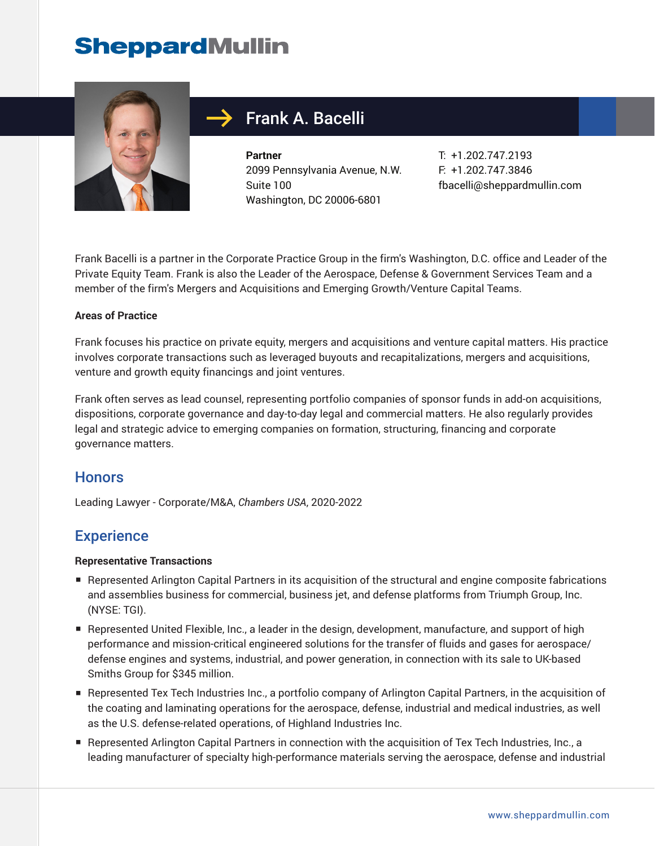

### Frank A. Bacelli

**Partner** 2099 Pennsylvania Avenue, N.W. Suite 100 Washington, DC 20006-6801

T: +1.202.747.2193 F: +1.202.747.3846 fbacelli@sheppardmullin.com

Frank Bacelli is a partner in the Corporate Practice Group in the firm's Washington, D.C. office and Leader of the Private Equity Team. Frank is also the Leader of the Aerospace, Defense & Government Services Team and a member of the firm's Mergers and Acquisitions and Emerging Growth/Venture Capital Teams.

#### **Areas of Practice**

Frank focuses his practice on private equity, mergers and acquisitions and venture capital matters. His practice involves corporate transactions such as leveraged buyouts and recapitalizations, mergers and acquisitions, venture and growth equity financings and joint ventures.

Frank often serves as lead counsel, representing portfolio companies of sponsor funds in add-on acquisitions, dispositions, corporate governance and day-to-day legal and commercial matters. He also regularly provides legal and strategic advice to emerging companies on formation, structuring, financing and corporate governance matters.

#### **Honors**

Leading Lawyer - Corporate/M&A, *Chambers USA*, 2020-2022

#### **Experience**

#### **Representative Transactions**

- Represented Arlington Capital Partners in its acquisition of the structural and engine composite fabrications and assemblies business for commercial, business jet, and defense platforms from Triumph Group, Inc. (NYSE: TGI).
- Represented United Flexible, Inc., a leader in the design, development, manufacture, and support of high performance and mission-critical engineered solutions for the transfer of fluids and gases for aerospace/ defense engines and systems, industrial, and power generation, in connection with its sale to UK-based Smiths Group for \$345 million.
- Represented Tex Tech Industries Inc., a portfolio company of Arlington Capital Partners, in the acquisition of the coating and laminating operations for the aerospace, defense, industrial and medical industries, as well as the U.S. defense-related operations, of Highland Industries Inc.
- Represented Arlington Capital Partners in connection with the acquisition of Tex Tech Industries, Inc., a leading manufacturer of specialty high-performance materials serving the aerospace, defense and industrial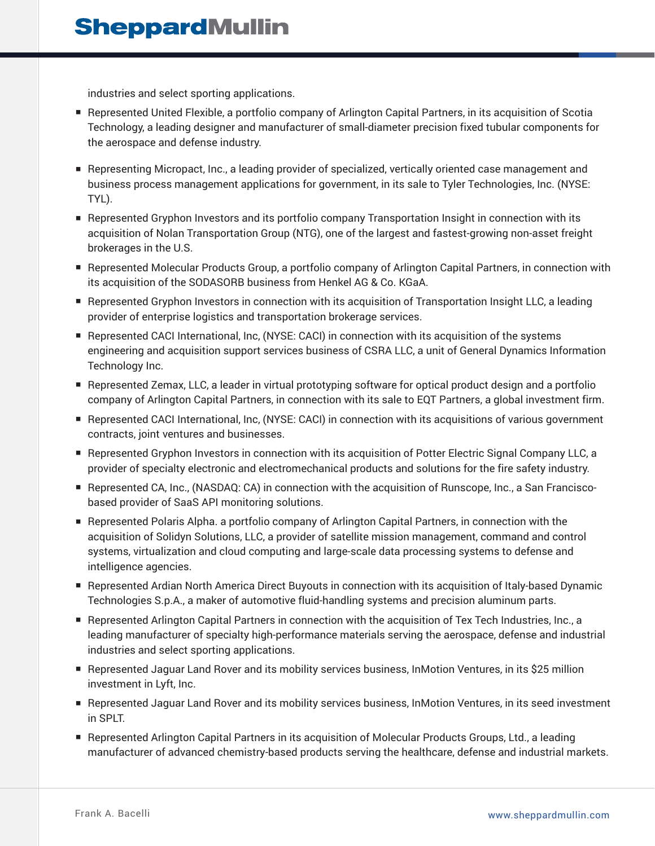industries and select sporting applications.

- Represented United Flexible, a portfolio company of Arlington Capital Partners, in its acquisition of Scotia Technology, a leading designer and manufacturer of small-diameter precision fixed tubular components for the aerospace and defense industry.
- Representing Micropact, Inc., a leading provider of specialized, vertically oriented case management and business process management applications for government, in its sale to Tyler Technologies, Inc. (NYSE: TYL).
- Represented Gryphon Investors and its portfolio company Transportation Insight in connection with its acquisition of Nolan Transportation Group (NTG), one of the largest and fastest-growing non-asset freight brokerages in the U.S.
- Represented Molecular Products Group, a portfolio company of Arlington Capital Partners, in connection with its acquisition of the SODASORB business from Henkel AG & Co. KGaA.
- Represented Gryphon Investors in connection with its acquisition of Transportation Insight LLC, a leading provider of enterprise logistics and transportation brokerage services.
- Represented CACI International, Inc, (NYSE: CACI) in connection with its acquisition of the systems engineering and acquisition support services business of CSRA LLC, a unit of General Dynamics Information Technology Inc.
- Represented Zemax, LLC, a leader in virtual prototyping software for optical product design and a portfolio company of Arlington Capital Partners, in connection with its sale to EQT Partners, a global investment firm.
- Represented CACI International, Inc, (NYSE: CACI) in connection with its acquisitions of various government contracts, joint ventures and businesses.
- Represented Gryphon Investors in connection with its acquisition of Potter Electric Signal Company LLC, a provider of specialty electronic and electromechanical products and solutions for the fire safety industry.
- Represented CA, Inc., (NASDAQ: CA) in connection with the acquisition of Runscope, Inc., a San Franciscobased provider of SaaS API monitoring solutions.
- Represented Polaris Alpha. a portfolio company of Arlington Capital Partners, in connection with the acquisition of Solidyn Solutions, LLC, a provider of satellite mission management, command and control systems, virtualization and cloud computing and large-scale data processing systems to defense and intelligence agencies.
- Represented Ardian North America Direct Buyouts in connection with its acquisition of Italy-based Dynamic Technologies S.p.A., a maker of automotive fluid-handling systems and precision aluminum parts.
- Represented Arlington Capital Partners in connection with the acquisition of Tex Tech Industries, Inc., a leading manufacturer of specialty high-performance materials serving the aerospace, defense and industrial industries and select sporting applications.
- Represented Jaguar Land Rover and its mobility services business, InMotion Ventures, in its \$25 million investment in Lyft, Inc.
- Represented Jaguar Land Rover and its mobility services business, InMotion Ventures, in its seed investment in SPLT.
- Represented Arlington Capital Partners in its acquisition of Molecular Products Groups, Ltd., a leading manufacturer of advanced chemistry-based products serving the healthcare, defense and industrial markets.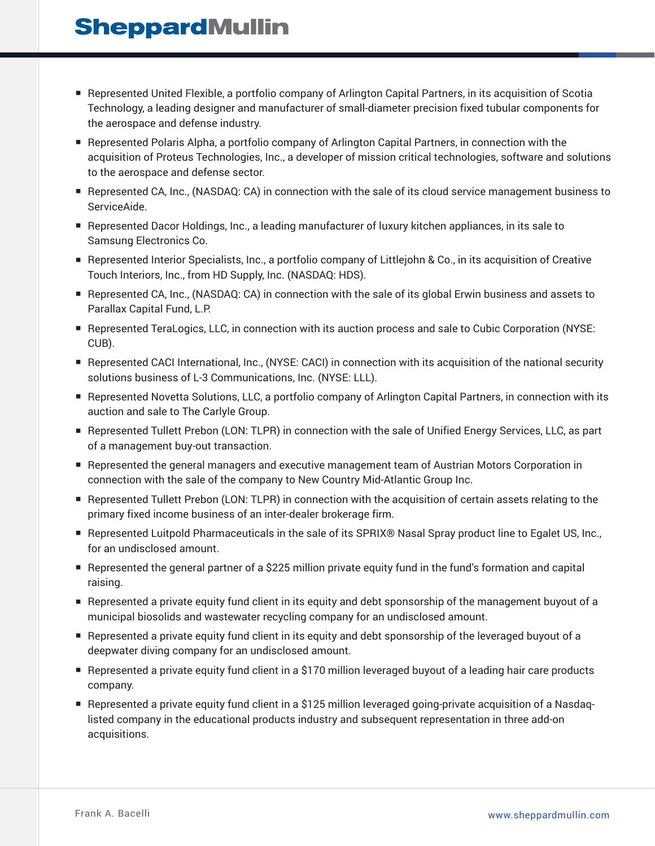- Represented United Flexible, a portfolio company of Arlington Capital Partners, in its acquisition of Scotia Technology, a leading designer and manufacturer of small-diameter precision fixed tubular components for the aerospace and defense industry.
- Represented Polaris Alpha, a portfolio company of Arlington Capital Partners, in connection with the acquisition of Proteus Technologies, Inc., a developer of mission critical technologies, software and solutions to the aerospace and defense sector.
- Represented CA, Inc., (NASDAQ: CA) in connection with the sale of its cloud service management business to ServiceAide.
- Represented Dacor Holdings, Inc., a leading manufacturer of luxury kitchen appliances, in its sale to Samsung Electronics Co.
- Represented Interior Specialists, Inc., a portfolio company of Littlejohn & Co., in its acquisition of Creative Touch Interiors, Inc., from HD Supply, Inc. (NASDAQ: HDS).
- Represented CA, Inc., (NASDAQ: CA) in connection with the sale of its global Erwin business and assets to Parallax Capital Fund, L.P.
- Represented TeraLogics, LLC, in connection with its auction process and sale to Cubic Corporation (NYSE: CUB).
- Represented CACI International, Inc., (NYSE: CACI) in connection with its acquisition of the national security solutions business of L-3 Communications, Inc. (NYSE: LLL).
- Represented Novetta Solutions, LLC, a portfolio company of Arlington Capital Partners, in connection with its auction and sale to The Carlyle Group.
- Represented Tullett Prebon (LON: TLPR) in connection with the sale of Unified Energy Services, LLC, as part of a management buy-out transaction.
- Represented the general managers and executive management team of Austrian Motors Corporation in connection with the sale of the company to New Country Mid-Atlantic Group Inc.
- Represented Tullett Prebon (LON: TLPR) in connection with the acquisition of certain assets relating to the primary fixed income business of an inter-dealer brokerage firm.
- Represented Luitpold Pharmaceuticals in the sale of its SPRIX® Nasal Spray product line to Egalet US, Inc., for an undisclosed amount.
- Represented the general partner of a \$225 million private equity fund in the fund's formation and capital raising.
- Represented a private equity fund client in its equity and debt sponsorship of the management buyout of a municipal biosolids and wastewater recycling company for an undisclosed amount.
- Represented a private equity fund client in its equity and debt sponsorship of the leveraged buyout of a deepwater diving company for an undisclosed amount.
- Represented a private equity fund client in a \$170 million leveraged buyout of a leading hair care products company.
- Represented a private equity fund client in a \$125 million leveraged going-private acquisition of a Nasdaqlisted company in the educational products industry and subsequent representation in three add-on acquisitions.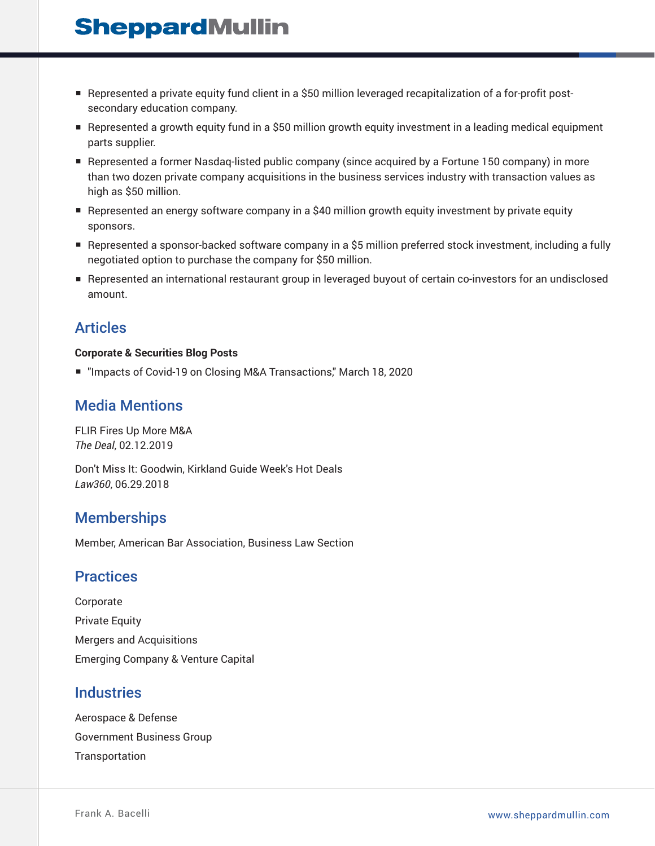- Represented a private equity fund client in a \$50 million leveraged recapitalization of a for-profit postsecondary education company.
- Represented a growth equity fund in a \$50 million growth equity investment in a leading medical equipment parts supplier.
- Represented a former Nasdaq-listed public company (since acquired by a Fortune 150 company) in more than two dozen private company acquisitions in the business services industry with transaction values as high as \$50 million.
- Represented an energy software company in a \$40 million growth equity investment by private equity sponsors.
- Represented a sponsor-backed software company in a \$5 million preferred stock investment, including a fully negotiated option to purchase the company for \$50 million.
- Represented an international restaurant group in leveraged buyout of certain co-investors for an undisclosed amount.

#### Articles

#### **Corporate & Securities Blog Posts**

■ "Impacts of Covid-19 on Closing M&A Transactions," March 18, 2020

### Media Mentions

FLIR Fires Up More M&A *The Deal*, 02.12.2019

Don't Miss It: Goodwin, Kirkland Guide Week's Hot Deals *Law360*, 06.29.2018

#### **Memberships**

Member, American Bar Association, Business Law Section

#### **Practices**

Corporate Private Equity Mergers and Acquisitions Emerging Company & Venture Capital

#### **Industries**

Aerospace & Defense Government Business Group Transportation